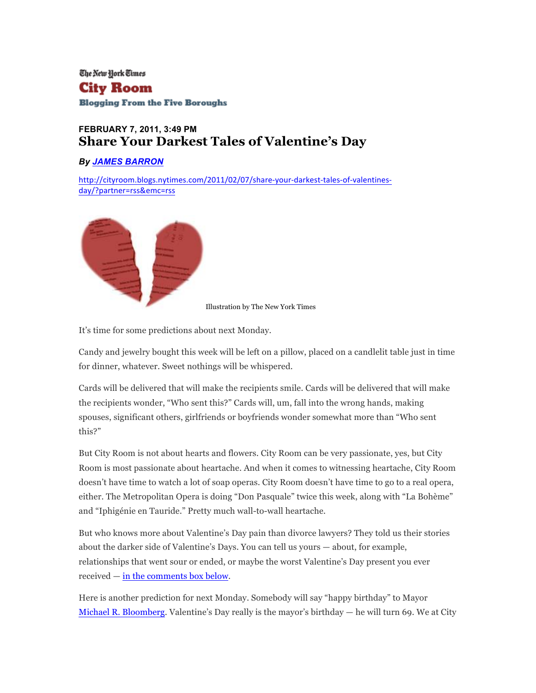The New York Times City Room **Blogging From the Five Boroughs** 

# **FEBRUARY 7, 2011, 3:49 PM Share Your Darkest Tales of Valentine's Day**

#### *By JAMES BARRON*

http://cityroom.blogs.nytimes.com/2011/02/07/share-your-darkest-tales-of-valentinesday/?partner=rss&emc=rss



Illustration by The New York Times

It's time for some predictions about next Monday.

Candy and jewelry bought this week will be left on a pillow, placed on a candlelit table just in time for dinner, whatever. Sweet nothings will be whispered.

Cards will be delivered that will make the recipients smile. Cards will be delivered that will make the recipients wonder, "Who sent this?" Cards will, um, fall into the wrong hands, making spouses, significant others, girlfriends or boyfriends wonder somewhat more than "Who sent this?"

But City Room is not about hearts and flowers. City Room can be very passionate, yes, but City Room is most passionate about heartache. And when it comes to witnessing heartache, City Room doesn't have time to watch a lot of soap operas. City Room doesn't have time to go to a real opera, either. The Metropolitan Opera is doing "Don Pasquale" twice this week, along with "La Bohème" and "Iphigénie en Tauride." Pretty much wall-to-wall heartache.

But who knows more about Valentine's Day pain than divorce lawyers? They told us their stories about the darker side of Valentine's Days. You can tell us yours — about, for example, relationships that went sour or ended, or maybe the worst Valentine's Day present you ever received — in the comments box below.

Here is another prediction for next Monday. Somebody will say "happy birthday" to Mayor Michael R. Bloomberg. Valentine's Day really is the mayor's birthday — he will turn 69. We at City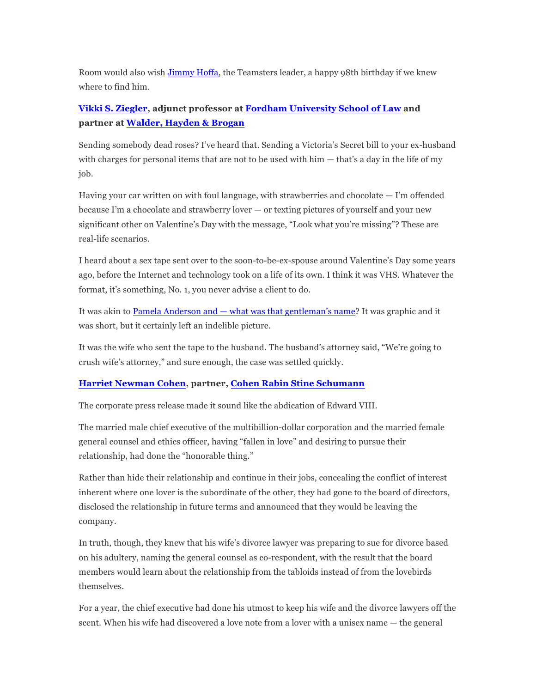Room would also wish Jimmy Hoffa, the Teamsters leader, a happy 98th birthday if we knew where to find him.

## **Vikki S. Ziegler, adjunct professor at Fordham University School of Law and partner at Walder, Hayden & Brogan**

Sending somebody dead roses? I've heard that. Sending a Victoria's Secret bill to your ex-husband with charges for personal items that are not to be used with him — that's a day in the life of my job.

Having your car written on with foul language, with strawberries and chocolate — I'm offended because I'm a chocolate and strawberry lover — or texting pictures of yourself and your new significant other on Valentine's Day with the message, "Look what you're missing"? These are real-life scenarios.

I heard about a sex tape sent over to the soon-to-be-ex-spouse around Valentine's Day some years ago, before the Internet and technology took on a life of its own. I think it was VHS. Whatever the format, it's something, No. 1, you never advise a client to do.

It was akin to Pamela Anderson and — what was that gentleman's name? It was graphic and it was short, but it certainly left an indelible picture.

It was the wife who sent the tape to the husband. The husband's attorney said, "We're going to crush wife's attorney," and sure enough, the case was settled quickly.

### **Harriet Newman Cohen, partner, Cohen Rabin Stine Schumann**

The corporate press release made it sound like the abdication of Edward VIII.

The married male chief executive of the multibillion-dollar corporation and the married female general counsel and ethics officer, having "fallen in love" and desiring to pursue their relationship, had done the "honorable thing."

Rather than hide their relationship and continue in their jobs, concealing the conflict of interest inherent where one lover is the subordinate of the other, they had gone to the board of directors, disclosed the relationship in future terms and announced that they would be leaving the company.

In truth, though, they knew that his wife's divorce lawyer was preparing to sue for divorce based on his adultery, naming the general counsel as co-respondent, with the result that the board members would learn about the relationship from the tabloids instead of from the lovebirds themselves.

For a year, the chief executive had done his utmost to keep his wife and the divorce lawyers off the scent. When his wife had discovered a love note from a lover with a unisex name — the general